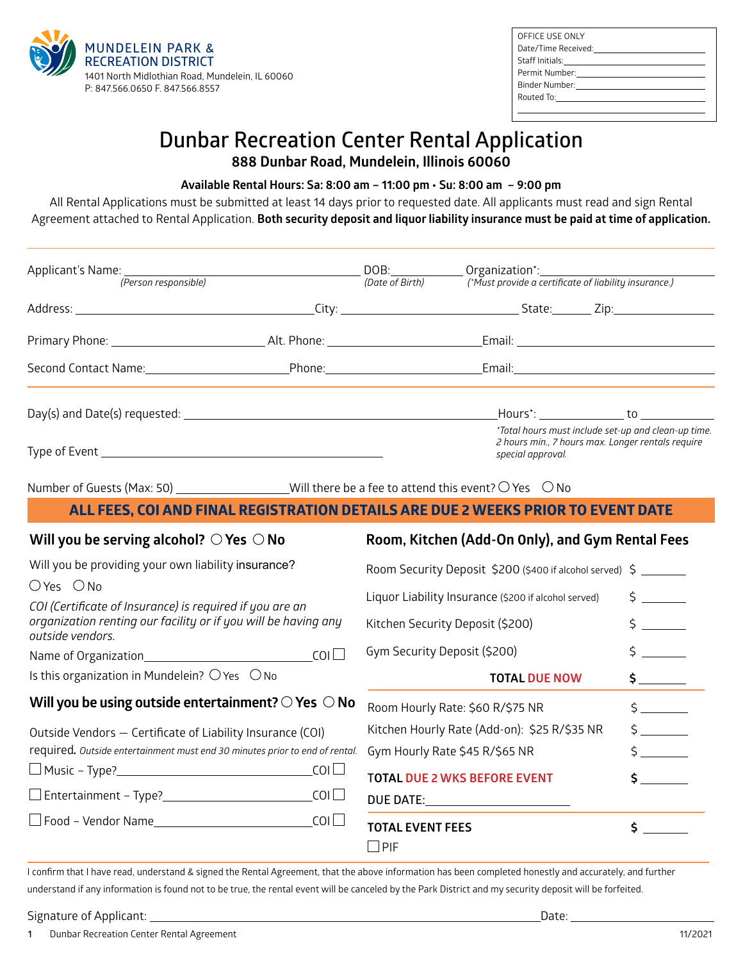

| OFFICE USE ONLY                                                                                                                                                                                                                |
|--------------------------------------------------------------------------------------------------------------------------------------------------------------------------------------------------------------------------------|
| Date/Time Received: National Assets of the Case of the Case of the Case of the Case of the Case of the Case of                                                                                                                 |
|                                                                                                                                                                                                                                |
|                                                                                                                                                                                                                                |
| Binder Number: with the control of the control of the control of the control of the control of the control of the control of the control of the control of the control of the control of the control of the control of the con |
| Routed To: <u>__________</u> _____________                                                                                                                                                                                     |
|                                                                                                                                                                                                                                |
|                                                                                                                                                                                                                                |

# **Dunbar Recreation Center Rental Application 888 Dunbar Road, Mundelein, Illinois 60060**

**Available Rental Hours: Sa: 8:00 am – 11:00 pm • Su: 8:00 am – 9:00 pm**

All Rental Applications must be submitted at least 14 days prior to requested date. All applicants must read and sign Rental Agreement attached to Rental Application. **Both security deposit and liquor liability insurance must be paid at time of application.**

| Applicant's Name: <u>(Person responsible)</u> (Person networks) (DOB: DOB: Organization <sup>*</sup> : <u>(Person responsible)</u> (Date of Birth) (Must provide a certificate of lial                                                                 |                                                                  | (*Must provide a certificate of liability insurance.)                                                                                                                                           |                                                                             |  |  |
|--------------------------------------------------------------------------------------------------------------------------------------------------------------------------------------------------------------------------------------------------------|------------------------------------------------------------------|-------------------------------------------------------------------------------------------------------------------------------------------------------------------------------------------------|-----------------------------------------------------------------------------|--|--|
|                                                                                                                                                                                                                                                        |                                                                  |                                                                                                                                                                                                 |                                                                             |  |  |
|                                                                                                                                                                                                                                                        |                                                                  |                                                                                                                                                                                                 |                                                                             |  |  |
| Second Contact Name: 1980 Contact Name: 1980 Contact Name: 2008 Phone: 2008 Contact Name: 2008 Contact Name: 2008 Contact Name: 2008 Contact Name: 2008 Contact Name: 2008 Contact Name: 2008 Contact Name: 2008 Contact Name:                         |                                                                  |                                                                                                                                                                                                 |                                                                             |  |  |
|                                                                                                                                                                                                                                                        |                                                                  | _Hours*: _________________ to ______________                                                                                                                                                    |                                                                             |  |  |
|                                                                                                                                                                                                                                                        |                                                                  | 2 hours min., 7 hours max. Longer rentals require<br>special approval.                                                                                                                          | *Total hours must include set-up and clean-up time.                         |  |  |
| Number of Guests (Max: 50) ___________________Will there be a fee to attend this event? $\bigcirc$ Yes $\bigcirc$ No                                                                                                                                   |                                                                  |                                                                                                                                                                                                 |                                                                             |  |  |
| ALL FEES, COI AND FINAL REGISTRATION DETAILS ARE DUE 2 WEEKS PRIOR TO EVENT DATE                                                                                                                                                                       |                                                                  |                                                                                                                                                                                                 |                                                                             |  |  |
| Will you be serving alcohol? $\bigcirc$ Yes $\bigcirc$ No                                                                                                                                                                                              | Room, Kitchen (Add-On Only), and Gym Rental Fees                 |                                                                                                                                                                                                 |                                                                             |  |  |
| Will you be providing your own liability insurance?<br>OYes ONo<br>COI (Certificate of Insurance) is required if you are an<br>organization renting our facility or if you will be having any<br>outside vendors.                                      | Kitchen Security Deposit (\$200)<br>Gym Security Deposit (\$200) | Room Security Deposit \$200 (\$400 if alcohol served) \$ _______<br>Liquor Liability Insurance (\$200 if alcohol served)                                                                        | $\mathsf{S}$<br>$\frac{1}{2}$<br>$\zeta$                                    |  |  |
| Is this organization in Mundelein? $\bigcirc$ Yes $\bigcirc$ No                                                                                                                                                                                        |                                                                  | <b>TOTAL DUE NOW</b>                                                                                                                                                                            | $\frac{1}{2}$                                                               |  |  |
| Will you be using outside entertainment? $\bigcirc$ Yes $\bigcirc$ No<br>Outside Vendors - Certificate of Liability Insurance (COI)<br>required. Outside entertainment must end 30 minutes prior to end of rental.<br>$\Box$ Food – Vendor Name $\_\_$ | <b>TOTAL EVENT FEES</b><br>$\Box$ PIF                            | Room Hourly Rate: \$60 R/\$75 NR<br>Kitchen Hourly Rate (Add-on): \$25 R/\$35 NR<br>Gym Hourly Rate \$45 R/\$65 NR<br><b>TOTAL DUE 2 WKS BEFORE EVENT</b><br>DUE DATE:_________________________ | $\zeta$<br>$\zeta$<br>$\frac{1}{2}$<br>$\frac{1}{2}$<br>$\ddot{\mathsf{S}}$ |  |  |

I confirm that I have read, understand & signed the Rental Agreement, that the above information has been completed honestly and accurately, and further understand if any information is found not to be true, the rental event will be canceled by the Park District and my security deposit will be forfeited.

#### Signature of Applicant: Date:

**1** Dunbar Recreation Center Rental Agreement 11/2021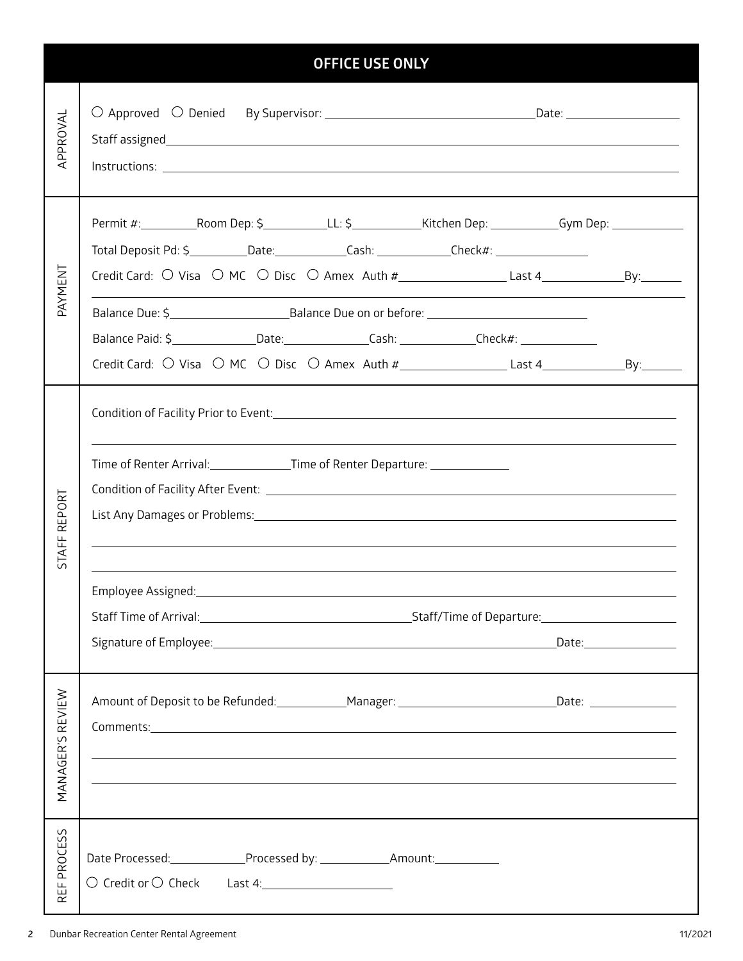| <b>OFFICE USE ONLY</b> |                                                                                                                                                                                                                                                                  |  |  |  |  |
|------------------------|------------------------------------------------------------------------------------------------------------------------------------------------------------------------------------------------------------------------------------------------------------------|--|--|--|--|
| APPROVAL               | Staff assigned states and the state of the state of the state of the state of the state of the state of the state of the state of the state of the state of the state of the state of the state of the state of the state of t                                   |  |  |  |  |
|                        | Permit #:____________Room Dep: \$_____________LL: \$____________Kitchen Dep: ____________Gym Dep: _____________<br>Total Deposit Pd: \$ ___________Date:______________Cash: ______________Check#: _____________________                                          |  |  |  |  |
| PAYMENT                |                                                                                                                                                                                                                                                                  |  |  |  |  |
|                        |                                                                                                                                                                                                                                                                  |  |  |  |  |
|                        | Balance Paid: \$_________________Date:_________________Cash: ______________Check#: _________________                                                                                                                                                             |  |  |  |  |
|                        |                                                                                                                                                                                                                                                                  |  |  |  |  |
| REPORT                 | Time of Renter Arrival: _____________________Time of Renter Departure: _______________<br>List Any Damages or Problems: 1988 and 2008 and 2008 and 2008 and 2008 and 2008 and 2008 and 2008 and 2008 and                                                         |  |  |  |  |
| STAFF                  |                                                                                                                                                                                                                                                                  |  |  |  |  |
| MANAGER'S REVIEW       | Amount of Deposit to be Refunded: _____________Manager: _______________________________Date: ________________<br><u> 1989 - Johann Stoff, amerikansk politiker (d. 1989)</u><br>,我们也不会有什么。""我们的人,我们也不会有什么?""我们的人,我们也不会有什么?""我们的人,我们也不会有什么?""我们的人,我们也不会有什么?""我们的人 |  |  |  |  |
| PROCESS<br>REF1        |                                                                                                                                                                                                                                                                  |  |  |  |  |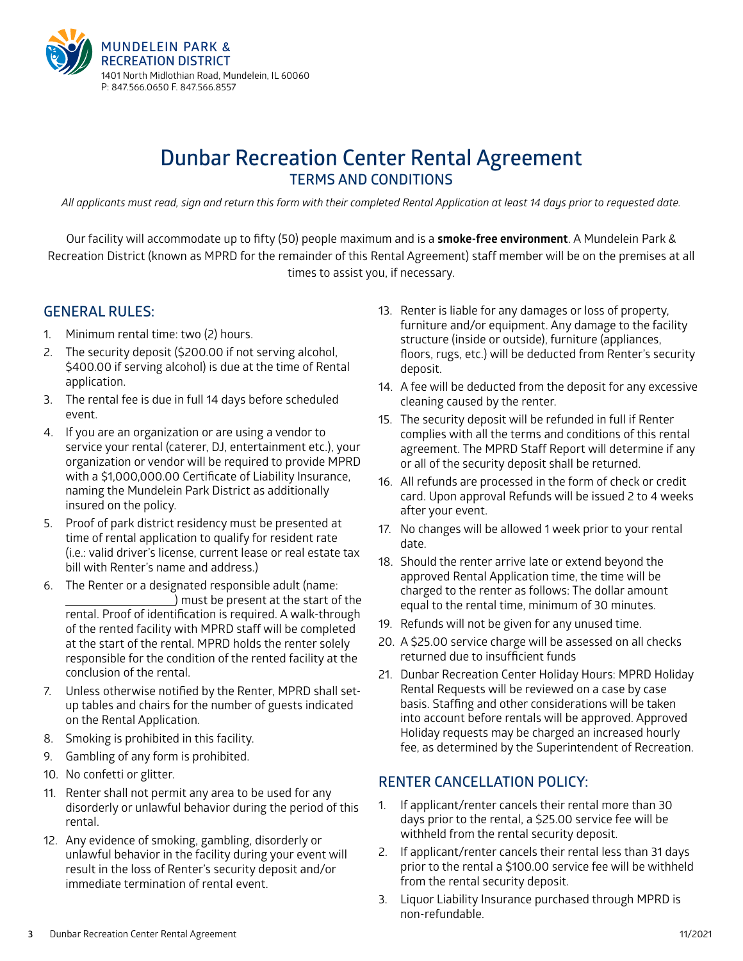

# **Dunbar Recreation Center Rental Agreement TERMS AND CONDITIONS**

*All applicants must read, sign and return this form with their completed Rental Application at least 14 days prior to requested date.*

Our facility will accommodate up to fifty (50) people maximum and is a **smoke-free environment**. A Mundelein Park & Recreation District (known as MPRD for the remainder of this Rental Agreement) staff member will be on the premises at all times to assist you, if necessary.

## **GENERAL RULES:**

- 1. Minimum rental time: two (2) hours.
- 2. The security deposit (\$200.00 if not serving alcohol, \$400.00 if serving alcohol) is due at the time of Rental application.
- 3. The rental fee is due in full 14 days before scheduled event.
- 4. If you are an organization or are using a vendor to service your rental (caterer, DJ, entertainment etc.), your organization or vendor will be required to provide MPRD with a \$1,000,000.00 Certificate of Liability Insurance, naming the Mundelein Park District as additionally insured on the policy.
- 5. Proof of park district residency must be presented at time of rental application to qualify for resident rate (i.e.: valid driver's license, current lease or real estate tax bill with Renter's name and address.)
- 6. The Renter or a designated responsible adult (name: ) must be present at the start of the rental. Proof of identification is required. A walk-through of the rented facility with MPRD staff will be completed at the start of the rental. MPRD holds the renter solely responsible for the condition of the rented facility at the conclusion of the rental.
- 7. Unless otherwise notified by the Renter, MPRD shall setup tables and chairs for the number of guests indicated on the Rental Application.
- 8. Smoking is prohibited in this facility.
- 9. Gambling of any form is prohibited.
- 10. No confetti or glitter.
- 11. Renter shall not permit any area to be used for any disorderly or unlawful behavior during the period of this rental.
- 12. Any evidence of smoking, gambling, disorderly or unlawful behavior in the facility during your event will result in the loss of Renter's security deposit and/or immediate termination of rental event.
- 13. Renter is liable for any damages or loss of property, furniture and/or equipment. Any damage to the facility structure (inside or outside), furniture (appliances, floors, rugs, etc.) will be deducted from Renter's security deposit.
- 14. A fee will be deducted from the deposit for any excessive cleaning caused by the renter.
- 15. The security deposit will be refunded in full if Renter complies with all the terms and conditions of this rental agreement. The MPRD Staff Report will determine if any or all of the security deposit shall be returned.
- 16. All refunds are processed in the form of check or credit card. Upon approval Refunds will be issued 2 to 4 weeks after your event.
- 17. No changes will be allowed 1 week prior to your rental date.
- 18. Should the renter arrive late or extend beyond the approved Rental Application time, the time will be charged to the renter as follows: The dollar amount equal to the rental time, minimum of 30 minutes.
- 19. Refunds will not be given for any unused time.
- 20. A \$25.00 service charge will be assessed on all checks returned due to insufficient funds
- 21. Dunbar Recreation Center Holiday Hours: MPRD Holiday Rental Requests will be reviewed on a case by case basis. Staffing and other considerations will be taken into account before rentals will be approved. Approved Holiday requests may be charged an increased hourly fee, as determined by the Superintendent of Recreation.

## **RENTER CANCELLATION POLICY:**

- 1. If applicant/renter cancels their rental more than 30 days prior to the rental, a \$25.00 service fee will be withheld from the rental security deposit.
- 2. If applicant/renter cancels their rental less than 31 days prior to the rental a \$100.00 service fee will be withheld from the rental security deposit.
- 3. Liquor Liability Insurance purchased through MPRD is non-refundable.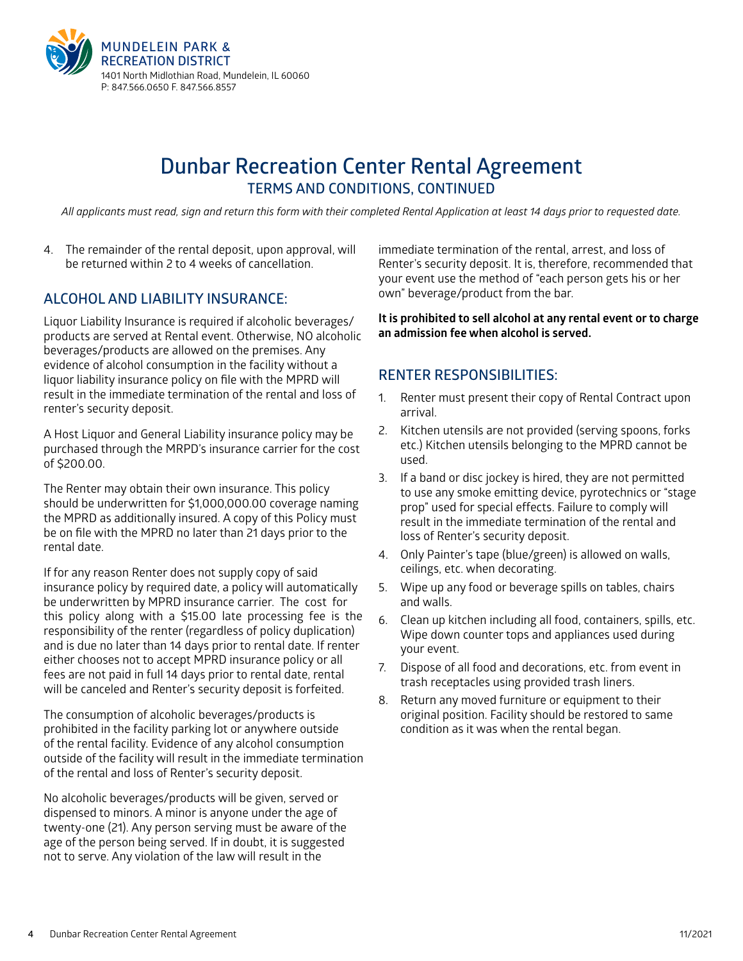

# **Dunbar Recreation Center Rental Agreement TERMS AND CONDITIONS, CONTINUED**

*All applicants must read, sign and return this form with their completed Rental Application at least 14 days prior to requested date.*

4. The remainder of the rental deposit, upon approval, will be returned within 2 to 4 weeks of cancellation.

# **ALCOHOL AND LIABILITY INSURANCE:**

Liquor Liability Insurance is required if alcoholic beverages/ products are served at Rental event. Otherwise, NO alcoholic beverages/products are allowed on the premises. Any evidence of alcohol consumption in the facility without a liquor liability insurance policy on file with the MPRD will result in the immediate termination of the rental and loss of renter's security deposit.

A Host Liquor and General Liability insurance policy may be purchased through the MRPD's insurance carrier for the cost of \$200.00.

The Renter may obtain their own insurance. This policy should be underwritten for \$1,000,000.00 coverage naming the MPRD as additionally insured. A copy of this Policy must be on file with the MPRD no later than 21 days prior to the rental date.

If for any reason Renter does not supply copy of said insurance policy by required date, a policy will automatically be underwritten by MPRD insurance carrier. The cost for this policy along with a \$15.00 late processing fee is the responsibility of the renter (regardless of policy duplication) and is due no later than 14 days prior to rental date. If renter either chooses not to accept MPRD insurance policy or all fees are not paid in full 14 days prior to rental date, rental will be canceled and Renter's security deposit is forfeited.

The consumption of alcoholic beverages/products is prohibited in the facility parking lot or anywhere outside of the rental facility. Evidence of any alcohol consumption outside of the facility will result in the immediate termination of the rental and loss of Renter's security deposit.

No alcoholic beverages/products will be given, served or dispensed to minors. A minor is anyone under the age of twenty-one (21). Any person serving must be aware of the age of the person being served. If in doubt, it is suggested not to serve. Any violation of the law will result in the

immediate termination of the rental, arrest, and loss of Renter's security deposit. It is, therefore, recommended that your event use the method of "each person gets his or her own" beverage/product from the bar.

**It is prohibited to sell alcohol at any rental event or to charge an admission fee when alcohol is served.**

#### **RENTER RESPONSIBILITIES:**

- 1. Renter must present their copy of Rental Contract upon arrival.
- 2. Kitchen utensils are not provided (serving spoons, forks etc.) Kitchen utensils belonging to the MPRD cannot be used.
- 3. If a band or disc jockey is hired, they are not permitted to use any smoke emitting device, pyrotechnics or "stage prop" used for special effects. Failure to comply will result in the immediate termination of the rental and loss of Renter's security deposit.
- 4. Only Painter's tape (blue/green) is allowed on walls, ceilings, etc. when decorating.
- 5. Wipe up any food or beverage spills on tables, chairs and walls.
- 6. Clean up kitchen including all food, containers, spills, etc. Wipe down counter tops and appliances used during your event.
- 7. Dispose of all food and decorations, etc. from event in trash receptacles using provided trash liners.
- 8. Return any moved furniture or equipment to their original position. Facility should be restored to same condition as it was when the rental began.